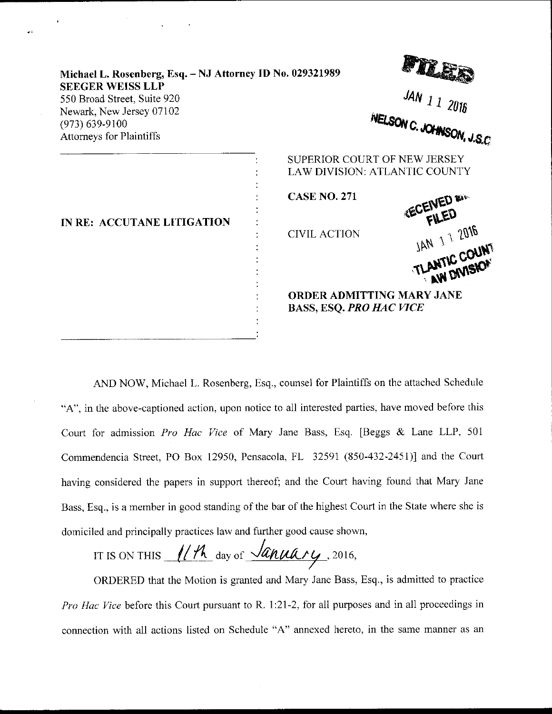| Michael L. Rosenberg, Esq. - NJ Attorney ID No. 029321989                          |                                                                            | 樱粒                                                                                          |  |
|------------------------------------------------------------------------------------|----------------------------------------------------------------------------|---------------------------------------------------------------------------------------------|--|
| <b>SEEGER WEISS LLP</b><br>550 Broad Street, Suite 920<br>Newark, New Jersey 07102 |                                                                            | JAN 1 1 2016                                                                                |  |
| $(973) 639 - 9100$<br><b>Attorneys for Plaintiffs</b>                              |                                                                            | NELSON C. JOHNSON, J.S.C                                                                    |  |
| IN RE: ACCUTANE LITIGATION                                                         | SUPERIOR COURT OF NEW JERSEY<br><b>CASE NO. 271</b><br><b>CIVIL ACTION</b> | <b>LAW DIVISION: ATLANTIC COUNTY</b><br><b>KECEIVED and</b><br>JAN 11 2016                  |  |
|                                                                                    |                                                                            | TLANTIC COUNT<br>AW DIVISION<br>ORDER ADMITTING MARY JANE<br><b>BASS, ESQ. PRO HAC VICE</b> |  |

Room

AND NOW, Michael L. Rosenberg, Esq., counsel fot Plaintiffs on the attached Schedule "A". in the above-captioned action, upon notice to all interested parties, have moved before this Court for admission Pro Hac Vice of Mary Jane Bass, Esq. [Beggs  $\&$  Lane LLP, 501] Commendencia Street, PO Box 12950, Pensacola, FL 32591 (850-432-2451)] and the Court having considered the papers in support thereof; and the Court having found that Mary Jane Bass, Esq., is a member in good standing of the bar of the highest Court in the State where she is domiciled and principally practices larv and further good cause shown,

IT IS ON THIS  $\frac{1}{10^{4}}$  day of  $\frac{\sqrt{a_{\mu\mu}}a_{\mu\mu}}{a_{\mu\mu}}$ , 2016,

ORDERED that the Motion is granted and Mary Jane Bass, Esq., is admitted to practice Pro Hac Vice before this Court pursuant to R. 1:21-2, for all purposes and in all proceedings in connection with all actions listed on Schedule "A" annexed hereto, in the same manner as an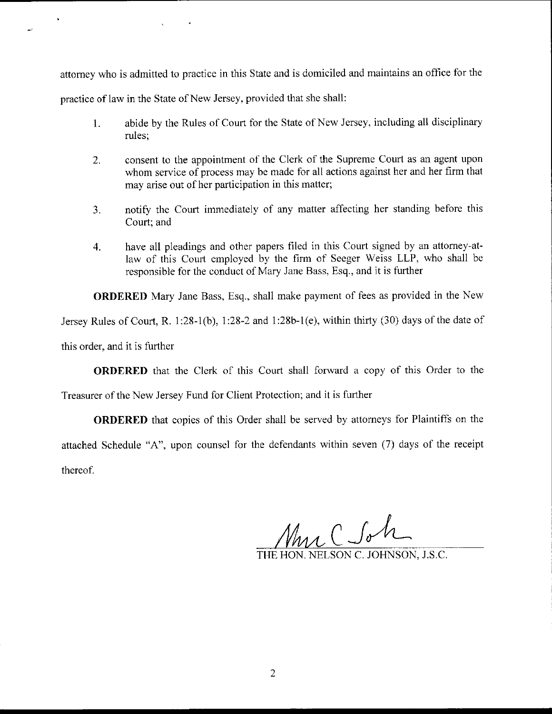attorney who is admitted to practice in this State and is domiciled and maintains an office for the

practice of law in the State of New Jersey, provided that she shall:

- 1. abide by the Rules of Court for the State of New Jersey, including all disciplinary rules;
- 2. consent to the appointment of the Clerk of the Supreme Courl as an agent upon whom service of process may be made for all actions against her and her firm that may arise out of her participation in this matter;
- 3. notify the Court immediately of any matter affecting her standing before this Court; and
- 4. have all pleadings and other papers filed in this Court signed by an attorney-atlaw of this Court employed by the firm of Seeger Weiss LLP, who shall be responsible for the conduct of Mary Jane Bass, Esq., and it is further

ORDERED Mary Jane Bass, Esq., shall make payment of fees as provided in the New

Jersey Rules of Court, R. 1:28-1(b), 1:28-2 and 1:28b-1(e), within thirty (30) days of the date of

this order, and it is further

**ORDERED** that the Clerk of this Court shall forward a copy of this Order to the

Treasurer of the New Jersey Fund for Client Protection; and it is further

ORDERED that copies of this Order shall be served by attorneys for Plaintiffs on the attached Schedule "A", upon counsel for the defendants within seven (7) days of the receipt thereof.

Muc Soh

TELSON C. JOHNSON, J.S.C.